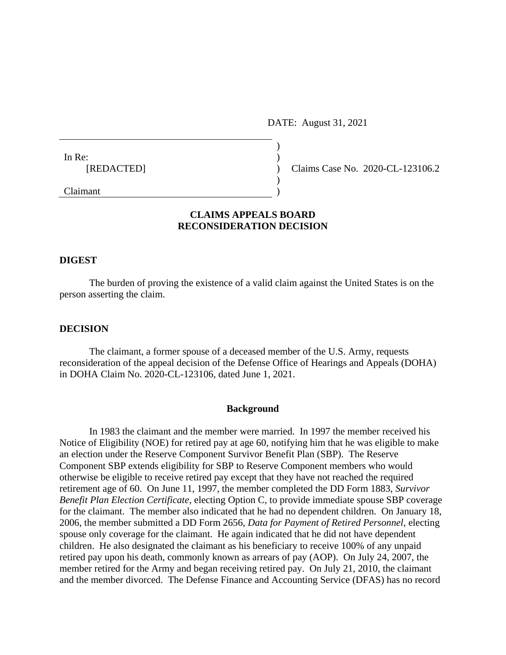DATE: August 31, 2021

| In Re:                                           |  |
|--------------------------------------------------|--|
| [REDACTED]                                       |  |
|                                                  |  |
| $\sim$ $\sim$ $\sim$ $\sim$ $\sim$ $\sim$ $\sim$ |  |

Claims Case No. 2020-CL-123106.2

Claimant )

# **CLAIMS APPEALS BOARD RECONSIDERATION DECISION**

## **DIGEST**

The burden of proving the existence of a valid claim against the United States is on the person asserting the claim.

#### **DECISION**

The claimant, a former spouse of a deceased member of the U.S. Army, requests reconsideration of the appeal decision of the Defense Office of Hearings and Appeals (DOHA) in DOHA Claim No. 2020-CL-123106, dated June 1, 2021.

#### **Background**

In 1983 the claimant and the member were married. In 1997 the member received his Notice of Eligibility (NOE) for retired pay at age 60, notifying him that he was eligible to make an election under the Reserve Component Survivor Benefit Plan (SBP). The Reserve Component SBP extends eligibility for SBP to Reserve Component members who would otherwise be eligible to receive retired pay except that they have not reached the required retirement age of 60. On June 11, 1997, the member completed the DD Form 1883, *Survivor Benefit Plan Election Certificate*, electing Option C, to provide immediate spouse SBP coverage for the claimant. The member also indicated that he had no dependent children. On January 18, 2006, the member submitted a DD Form 2656, *Data for Payment of Retired Personnel*, electing spouse only coverage for the claimant. He again indicated that he did not have dependent children. He also designated the claimant as his beneficiary to receive 100% of any unpaid retired pay upon his death, commonly known as arrears of pay (AOP). On July 24, 2007, the member retired for the Army and began receiving retired pay. On July 21, 2010, the claimant and the member divorced. The Defense Finance and Accounting Service (DFAS) has no record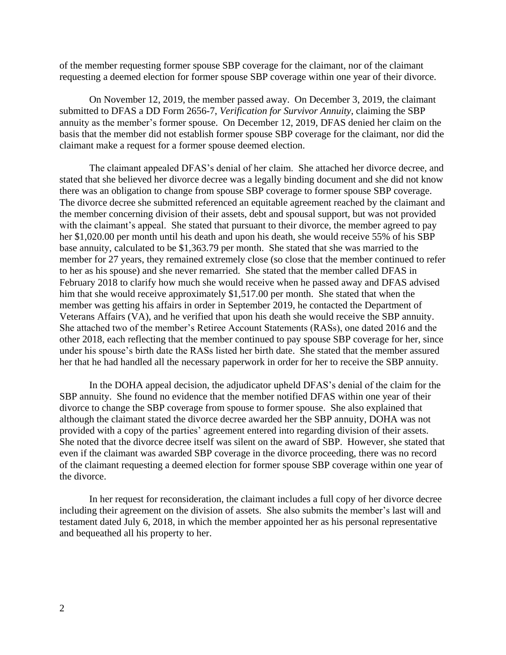of the member requesting former spouse SBP coverage for the claimant, nor of the claimant requesting a deemed election for former spouse SBP coverage within one year of their divorce.

On November 12, 2019, the member passed away. On December 3, 2019, the claimant submitted to DFAS a DD Form 2656-7, *Verification for Survivor Annuity*, claiming the SBP annuity as the member's former spouse. On December 12, 2019, DFAS denied her claim on the basis that the member did not establish former spouse SBP coverage for the claimant, nor did the claimant make a request for a former spouse deemed election.

The claimant appealed DFAS's denial of her claim. She attached her divorce decree, and stated that she believed her divorce decree was a legally binding document and she did not know there was an obligation to change from spouse SBP coverage to former spouse SBP coverage. The divorce decree she submitted referenced an equitable agreement reached by the claimant and the member concerning division of their assets, debt and spousal support, but was not provided with the claimant's appeal. She stated that pursuant to their divorce, the member agreed to pay her \$1,020.00 per month until his death and upon his death, she would receive 55% of his SBP base annuity, calculated to be \$1,363.79 per month. She stated that she was married to the member for 27 years, they remained extremely close (so close that the member continued to refer to her as his spouse) and she never remarried. She stated that the member called DFAS in February 2018 to clarify how much she would receive when he passed away and DFAS advised him that she would receive approximately \$1,517.00 per month. She stated that when the member was getting his affairs in order in September 2019, he contacted the Department of Veterans Affairs (VA), and he verified that upon his death she would receive the SBP annuity. She attached two of the member's Retiree Account Statements (RASs), one dated 2016 and the other 2018, each reflecting that the member continued to pay spouse SBP coverage for her, since under his spouse's birth date the RASs listed her birth date. She stated that the member assured her that he had handled all the necessary paperwork in order for her to receive the SBP annuity.

In the DOHA appeal decision, the adjudicator upheld DFAS's denial of the claim for the SBP annuity. She found no evidence that the member notified DFAS within one year of their divorce to change the SBP coverage from spouse to former spouse. She also explained that although the claimant stated the divorce decree awarded her the SBP annuity, DOHA was not provided with a copy of the parties' agreement entered into regarding division of their assets. She noted that the divorce decree itself was silent on the award of SBP. However, she stated that even if the claimant was awarded SBP coverage in the divorce proceeding, there was no record of the claimant requesting a deemed election for former spouse SBP coverage within one year of the divorce.

In her request for reconsideration, the claimant includes a full copy of her divorce decree including their agreement on the division of assets. She also submits the member's last will and testament dated July 6, 2018, in which the member appointed her as his personal representative and bequeathed all his property to her.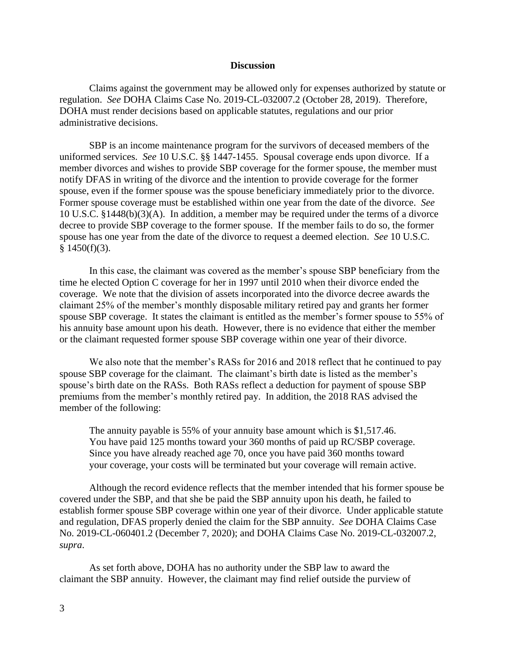### **Discussion**

Claims against the government may be allowed only for expenses authorized by statute or regulation. *See* DOHA Claims Case No. 2019-CL-032007.2 (October 28, 2019). Therefore, DOHA must render decisions based on applicable statutes, regulations and our prior administrative decisions.

SBP is an income maintenance program for the survivors of deceased members of the uniformed services. *See* 10 U.S.C. §§ 1447-1455. Spousal coverage ends upon divorce. If a member divorces and wishes to provide SBP coverage for the former spouse, the member must notify DFAS in writing of the divorce and the intention to provide coverage for the former spouse, even if the former spouse was the spouse beneficiary immediately prior to the divorce. Former spouse coverage must be established within one year from the date of the divorce. *See*  10 U.S.C. §1448(b)(3)(A). In addition, a member may be required under the terms of a divorce decree to provide SBP coverage to the former spouse. If the member fails to do so, the former spouse has one year from the date of the divorce to request a deemed election. *See* 10 U.S.C.  $§$  1450(f)(3).

In this case, the claimant was covered as the member's spouse SBP beneficiary from the time he elected Option C coverage for her in 1997 until 2010 when their divorce ended the coverage. We note that the division of assets incorporated into the divorce decree awards the claimant 25% of the member's monthly disposable military retired pay and grants her former spouse SBP coverage. It states the claimant is entitled as the member's former spouse to 55% of his annuity base amount upon his death. However, there is no evidence that either the member or the claimant requested former spouse SBP coverage within one year of their divorce.

We also note that the member's RASs for 2016 and 2018 reflect that he continued to pay spouse SBP coverage for the claimant. The claimant's birth date is listed as the member's spouse's birth date on the RASs. Both RASs reflect a deduction for payment of spouse SBP premiums from the member's monthly retired pay. In addition, the 2018 RAS advised the member of the following:

The annuity payable is 55% of your annuity base amount which is \$1,517.46. You have paid 125 months toward your 360 months of paid up RC/SBP coverage. Since you have already reached age 70, once you have paid 360 months toward your coverage, your costs will be terminated but your coverage will remain active.

Although the record evidence reflects that the member intended that his former spouse be covered under the SBP, and that she be paid the SBP annuity upon his death, he failed to establish former spouse SBP coverage within one year of their divorce. Under applicable statute and regulation, DFAS properly denied the claim for the SBP annuity. *See* DOHA Claims Case No. 2019-CL-060401.2 (December 7, 2020); and DOHA Claims Case No. 2019-CL-032007.2, *supra*.

As set forth above, DOHA has no authority under the SBP law to award the claimant the SBP annuity. However, the claimant may find relief outside the purview of